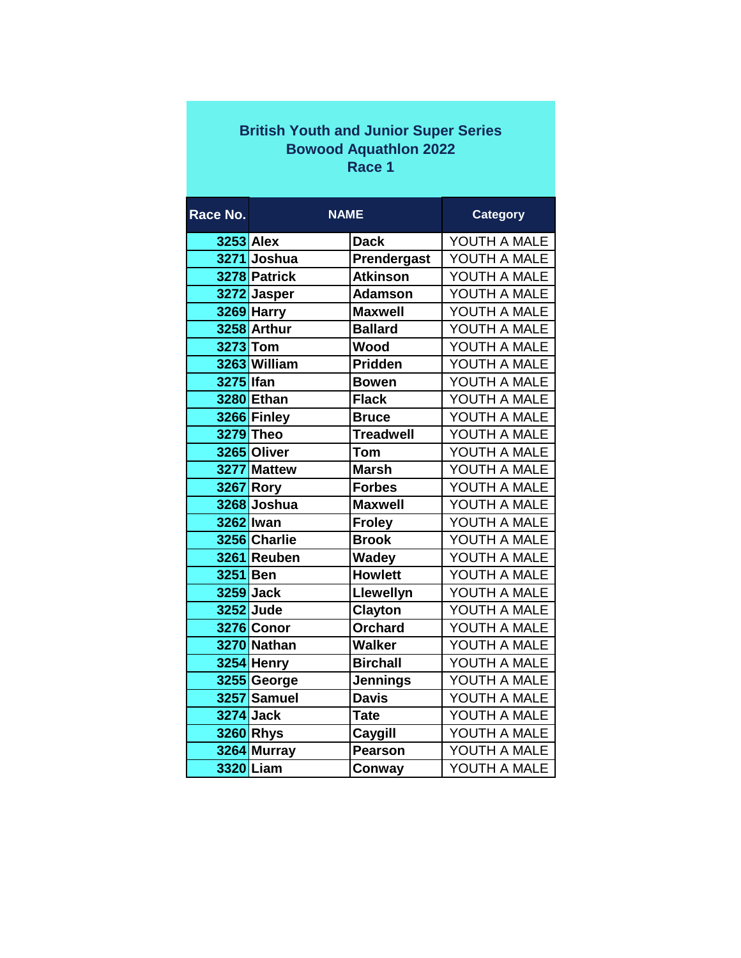## **British Youth and Junior Super Series Bowood Aquathlon 2022 Race 1**

| Race No.         | <b>NAME</b>      |                  | <b>Category</b> |
|------------------|------------------|------------------|-----------------|
| <b>3253 Alex</b> |                  | <b>Dack</b>      | YOUTH A MALE    |
|                  | 3271 Joshua      | Prendergast      | YOUTH A MALE    |
|                  | 3278 Patrick     | <b>Atkinson</b>  | YOUTH A MALE    |
|                  | 3272 Jasper      | <b>Adamson</b>   | YOUTH A MALE    |
|                  | 3269 Harry       | <b>Maxwell</b>   | YOUTH A MALE    |
|                  | 3258 Arthur      | <b>Ballard</b>   | YOUTH A MALE    |
| 3273 Tom         |                  | Wood             | YOUTH A MALE    |
|                  | 3263 William     | Pridden          | YOUTH A MALE    |
| 3275 Ifan        |                  | <b>Bowen</b>     | YOUTH A MALE    |
|                  | 3280 Ethan       | <b>Flack</b>     | YOUTH A MALE    |
|                  | 3266 Finley      | <b>Bruce</b>     | YOUTH A MALE    |
|                  | 3279 Theo        | <b>Treadwell</b> | YOUTH A MALE    |
|                  | 3265 Oliver      | <b>Tom</b>       | YOUTH A MALE    |
|                  | 3277 Mattew      | <b>Marsh</b>     | YOUTH A MALE    |
|                  | <b>3267 Rory</b> | Forbes           | YOUTH A MALE    |
|                  | 3268 Joshua      | <b>Maxwell</b>   | YOUTH A MALE    |
|                  | 3262 lwan        | <b>Froley</b>    | YOUTH A MALE    |
|                  | 3256 Charlie     | <b>Brook</b>     | YOUTH A MALE    |
|                  | 3261 Reuben      | <b>Wadey</b>     | YOUTH A MALE    |
| 3251 Ben         |                  | <b>Howlett</b>   | YOUTH A MALE    |
|                  | 3259 Jack        | Llewellyn        | YOUTH A MALE    |
|                  | 3252 Jude        | <b>Clayton</b>   | YOUTH A MALE    |
|                  | 3276 Conor       | <b>Orchard</b>   | YOUTH A MALE    |
|                  | 3270 Nathan      | <b>Walker</b>    | YOUTH A MALE    |
|                  | 3254 Henry       | <b>Birchall</b>  | YOUTH A MALE    |
|                  | 3255 George      | <b>Jennings</b>  | YOUTH A MALE    |
|                  | 3257 Samuel      | <b>Davis</b>     | YOUTH A MALE    |
|                  | 3274 Jack        | <b>Tate</b>      | YOUTH A MALE    |
|                  | 3260 Rhys        | Caygill          | YOUTH A MALE    |
|                  | 3264 Murray      | <b>Pearson</b>   | YOUTH A MALE    |
|                  | 3320 Liam        | Conway           | YOUTH A MALE    |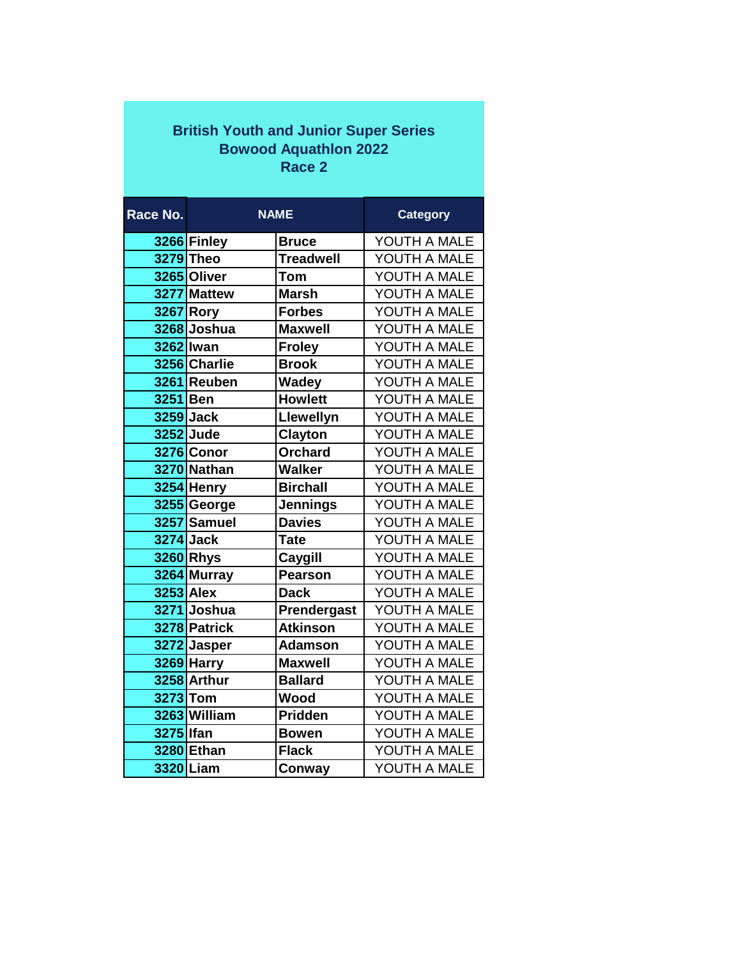## **British Youth and Junior Super Series Bowood Aquathlon 2022 Race 2**

| Race No.        | <b>NAME</b>      |                  | <b>Category</b> |
|-----------------|------------------|------------------|-----------------|
|                 | 3266 Finley      | <b>Bruce</b>     | YOUTH A MALE    |
|                 | 3279 Theo        | <b>Treadwell</b> | YOUTH A MALE    |
|                 | 3265 Oliver      | <b>Tom</b>       | YOUTH A MALE    |
|                 | 3277 Mattew      | <b>Marsh</b>     | YOUTH A MALE    |
|                 | 3267 Rory        | <b>Forbes</b>    | YOUTH A MALE    |
|                 | 3268 Joshua      | <b>Maxwell</b>   | YOUTH A MALE    |
|                 | 3262 Iwan        | <b>Froley</b>    | YOUTH A MALE    |
|                 | 3256 Charlie     | <b>Brook</b>     | YOUTH A MALE    |
|                 | 3261 Reuben      | <b>Wadey</b>     | YOUTH A MALE    |
| 3251 Ben        |                  | <b>Howlett</b>   | YOUTH A MALE    |
|                 | 3259 Jack        | Llewellyn        | YOUTH A MALE    |
|                 | 3252 Jude        | <b>Clayton</b>   | YOUTH A MALE    |
|                 | 3276 Conor       | <b>Orchard</b>   | YOUTH A MALE    |
|                 | 3270 Nathan      | <b>Walker</b>    | YOUTH A MALE    |
|                 | 3254 Henry       | <b>Birchall</b>  | YOUTH A MALE    |
|                 | 3255 George      | <b>Jennings</b>  | YOUTH A MALE    |
|                 | 3257 Samuel      | <b>Davies</b>    | YOUTH A MALE    |
|                 | 3274 Jack        | <b>Tate</b>      | YOUTH A MALE    |
|                 | 3260 Rhys        | Caygill          | YOUTH A MALE    |
|                 | 3264 Murray      | Pearson          | YOUTH A MALE    |
|                 | <b>3253 Alex</b> | <b>Dack</b>      | YOUTH A MALE    |
|                 | 3271 Joshua      | Prendergast      | YOUTH A MALE    |
|                 | 3278 Patrick     | <b>Atkinson</b>  | YOUTH A MALE    |
|                 | 3272 Jasper      | <b>Adamson</b>   | YOUTH A MALE    |
|                 | 3269 Harry       | <b>Maxwell</b>   | YOUTH A MALE    |
|                 | 3258 Arthur      | <b>Ballard</b>   | YOUTH A MALE    |
| <b>3273 Tom</b> |                  | Wood             | YOUTH A MALE    |
|                 | 3263 William     | <b>Pridden</b>   | YOUTH A MALE    |
| 3275 Ifan       |                  | <b>Bowen</b>     | YOUTH A MALE    |
|                 | 3280 Ethan       | <b>Flack</b>     | YOUTH A MALE    |
|                 | 3320 Liam        | Conway           | YOUTH A MALE    |